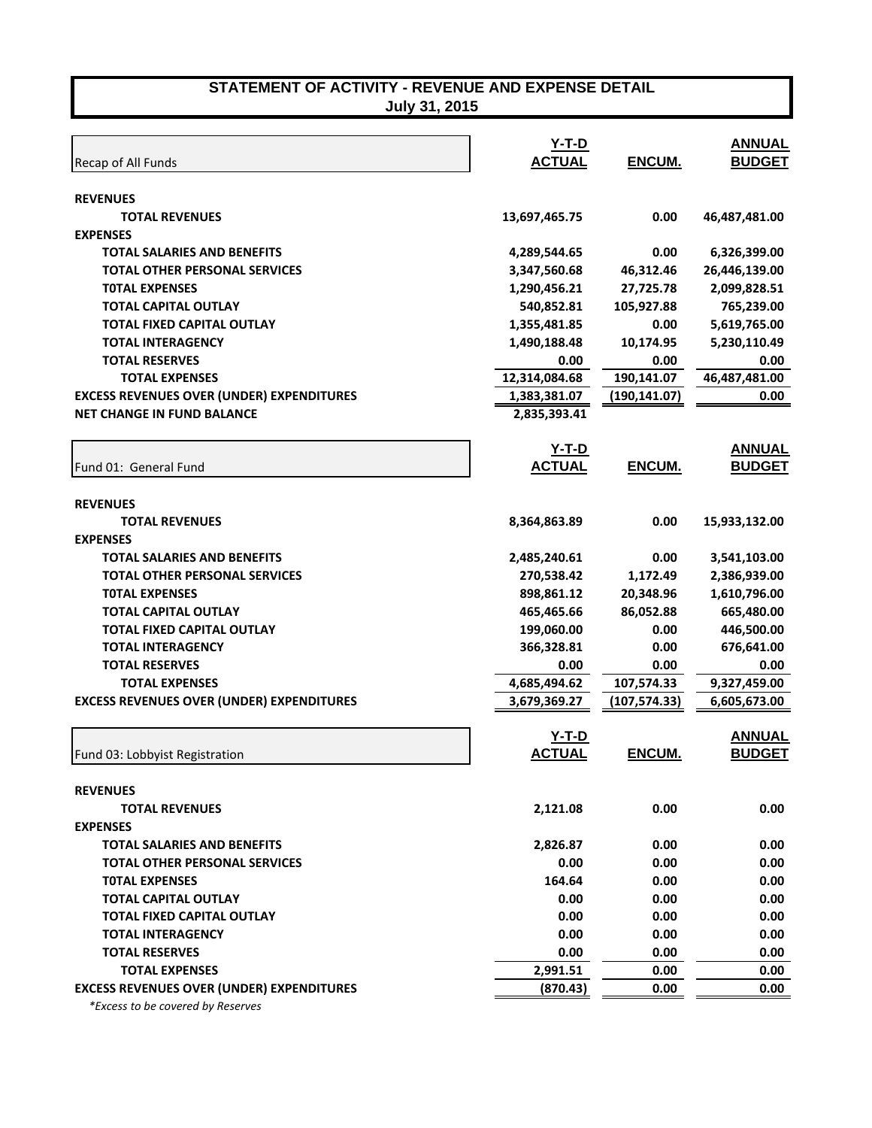**July 31, 2015** 

| Recap of All Funds                               | <u>Y-T-D</u><br><b>ACTUAL</b> | ENCUM.        | <b>ANNUAL</b><br><b>BUDGET</b> |
|--------------------------------------------------|-------------------------------|---------------|--------------------------------|
| <b>REVENUES</b>                                  |                               |               |                                |
| <b>TOTAL REVENUES</b>                            | 13,697,465.75                 | 0.00          | 46,487,481.00                  |
| <b>EXPENSES</b>                                  |                               |               |                                |
| <b>TOTAL SALARIES AND BENEFITS</b>               | 4,289,544.65                  | 0.00          | 6,326,399.00                   |
| <b>TOTAL OTHER PERSONAL SERVICES</b>             | 3,347,560.68                  | 46,312.46     | 26,446,139.00                  |
| <b>TOTAL EXPENSES</b>                            | 1,290,456.21                  | 27,725.78     | 2,099,828.51                   |
| <b>TOTAL CAPITAL OUTLAY</b>                      | 540,852.81                    | 105,927.88    | 765,239.00                     |
| TOTAL FIXED CAPITAL OUTLAY                       | 1,355,481.85                  | 0.00          | 5,619,765.00                   |
| <b>TOTAL INTERAGENCY</b>                         | 1,490,188.48                  | 10,174.95     | 5,230,110.49                   |
| <b>TOTAL RESERVES</b>                            | 0.00                          | 0.00          | 0.00                           |
| <b>TOTAL EXPENSES</b>                            | 12,314,084.68                 | 190,141.07    | 46,487,481.00                  |
| <b>EXCESS REVENUES OVER (UNDER) EXPENDITURES</b> | 1,383,381.07                  | (190, 141.07) | 0.00                           |
| <b>NET CHANGE IN FUND BALANCE</b>                | 2,835,393.41                  |               |                                |
|                                                  | $Y-T-D$                       |               | <b>ANNUAL</b>                  |
| Fund 01: General Fund                            | <b>ACTUAL</b>                 | ENCUM.        | <b>BUDGET</b>                  |
| <b>REVENUES</b>                                  |                               |               |                                |
| <b>TOTAL REVENUES</b>                            | 8,364,863.89                  | 0.00          | 15,933,132.00                  |
| <b>EXPENSES</b>                                  |                               |               |                                |
| <b>TOTAL SALARIES AND BENEFITS</b>               | 2,485,240.61                  | 0.00          | 3,541,103.00                   |
| <b>TOTAL OTHER PERSONAL SERVICES</b>             | 270,538.42                    | 1,172.49      | 2,386,939.00                   |
| <b>TOTAL EXPENSES</b>                            | 898,861.12                    | 20,348.96     | 1,610,796.00                   |
| <b>TOTAL CAPITAL OUTLAY</b>                      | 465,465.66                    | 86,052.88     | 665,480.00                     |
| <b>TOTAL FIXED CAPITAL OUTLAY</b>                | 199,060.00                    | 0.00          | 446,500.00                     |
| <b>TOTAL INTERAGENCY</b>                         | 366,328.81                    | 0.00          | 676,641.00                     |
| <b>TOTAL RESERVES</b>                            | 0.00                          | 0.00          | 0.00                           |
| <b>TOTAL EXPENSES</b>                            | 4,685,494.62                  | 107,574.33    | 9,327,459.00                   |
| <b>EXCESS REVENUES OVER (UNDER) EXPENDITURES</b> | 3,679,369.27                  | (107, 574.33) | 6,605,673.00                   |
|                                                  | $Y-T-D$                       |               | <b>ANNUAL</b>                  |
| Fund 03: Lobbyist Registration                   | <b>ACTUAL</b>                 | ENCUM.        | <b>BUDGET</b>                  |
| <b>REVENUES</b>                                  |                               |               |                                |
| <b>TOTAL REVENUES</b>                            | 2,121.08                      | 0.00          | 0.00                           |
| <b>EXPENSES</b>                                  |                               |               |                                |
| <b>TOTAL SALARIES AND BENEFITS</b>               | 2,826.87                      | 0.00          | 0.00                           |
| <b>TOTAL OTHER PERSONAL SERVICES</b>             | 0.00                          | 0.00          | 0.00                           |
| <b>TOTAL EXPENSES</b>                            | 164.64                        | 0.00          | 0.00                           |
| <b>TOTAL CAPITAL OUTLAY</b>                      | 0.00                          | 0.00          | 0.00                           |
| <b>TOTAL FIXED CAPITAL OUTLAY</b>                | 0.00                          | 0.00          | 0.00                           |
| <b>TOTAL INTERAGENCY</b>                         | 0.00                          | 0.00          | 0.00                           |
| <b>TOTAL RESERVES</b>                            | 0.00                          | 0.00          | 0.00                           |
| <b>TOTAL EXPENSES</b>                            | 2,991.51                      | 0.00          | 0.00                           |
| <b>EXCESS REVENUES OVER (UNDER) EXPENDITURES</b> | (870.43)                      | 0.00          | 0.00                           |
|                                                  |                               |               |                                |

 *\*Excess to be covered by Reserves*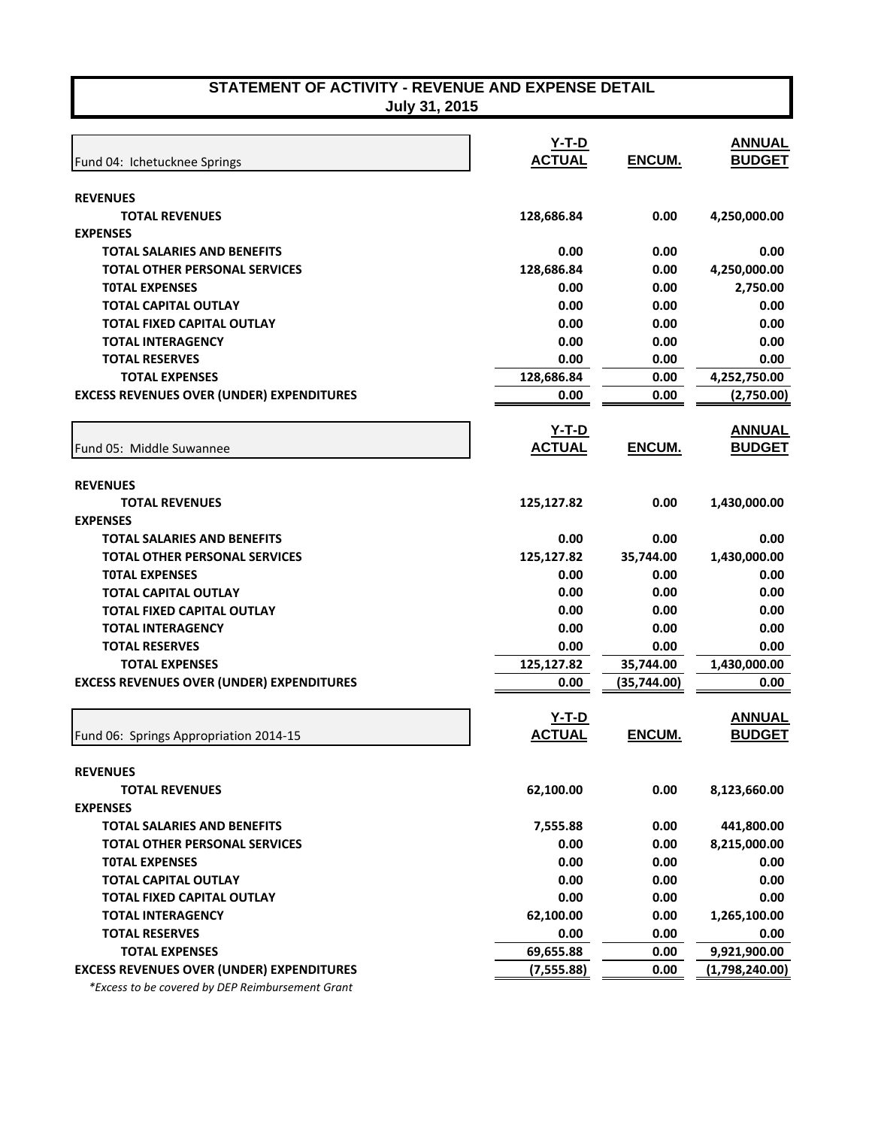**July 31, 2015** 

| Fund 04: Ichetucknee Springs                     | $Y-T-D$<br><b>ACTUAL</b> | ENCUM.        | <b>ANNUAL</b><br><b>BUDGET</b> |
|--------------------------------------------------|--------------------------|---------------|--------------------------------|
| <b>REVENUES</b>                                  |                          |               |                                |
| <b>TOTAL REVENUES</b>                            | 128,686.84               | 0.00          | 4,250,000.00                   |
| <b>EXPENSES</b>                                  |                          |               |                                |
| <b>TOTAL SALARIES AND BENEFITS</b>               | 0.00                     | 0.00          | 0.00                           |
| <b>TOTAL OTHER PERSONAL SERVICES</b>             | 128,686.84               | 0.00          | 4,250,000.00                   |
| <b>TOTAL EXPENSES</b>                            | 0.00                     | 0.00          | 2,750.00                       |
| <b>TOTAL CAPITAL OUTLAY</b>                      | 0.00                     | 0.00          | 0.00                           |
| TOTAL FIXED CAPITAL OUTLAY                       | 0.00                     | 0.00          | 0.00                           |
| <b>TOTAL INTERAGENCY</b>                         | 0.00                     | 0.00          | 0.00                           |
| <b>TOTAL RESERVES</b>                            | 0.00                     | 0.00          | 0.00                           |
| <b>TOTAL EXPENSES</b>                            | 128,686.84               | 0.00          | 4,252,750.00                   |
| <b>EXCESS REVENUES OVER (UNDER) EXPENDITURES</b> | 0.00                     | 0.00          | (2,750.00)                     |
|                                                  | <u>Y-T-D</u>             |               | <b>ANNUAL</b>                  |
| Fund 05: Middle Suwannee                         | <b>ACTUAL</b>            | <b>ENCUM.</b> | <b>BUDGET</b>                  |
| <b>REVENUES</b>                                  |                          |               |                                |
| <b>TOTAL REVENUES</b>                            | 125,127.82               | 0.00          | 1,430,000.00                   |
| <b>EXPENSES</b>                                  |                          |               |                                |
| <b>TOTAL SALARIES AND BENEFITS</b>               | 0.00                     | 0.00          | 0.00                           |
| <b>TOTAL OTHER PERSONAL SERVICES</b>             | 125,127.82               | 35,744.00     | 1,430,000.00                   |
| <b>TOTAL EXPENSES</b>                            | 0.00                     | 0.00          | 0.00                           |
| <b>TOTAL CAPITAL OUTLAY</b>                      | 0.00                     | 0.00          | 0.00                           |
| <b>TOTAL FIXED CAPITAL OUTLAY</b>                | 0.00                     | 0.00          | 0.00                           |
| <b>TOTAL INTERAGENCY</b>                         | 0.00                     | 0.00          | 0.00                           |
| <b>TOTAL RESERVES</b>                            | 0.00                     | 0.00          | 0.00                           |
| <b>TOTAL EXPENSES</b>                            | 125,127.82               | 35,744.00     | 1,430,000.00                   |
| <b>EXCESS REVENUES OVER (UNDER) EXPENDITURES</b> | 0.00                     | (35, 744.00)  | 0.00                           |
|                                                  | $Y-T-D$                  |               | <b>ANNUAL</b>                  |
| Fund 06: Springs Appropriation 2014-15           | <b>ACTUAL</b>            | ENCUM.        | <b>BUDGET</b>                  |
| <b>REVENUES</b>                                  |                          |               |                                |
| <b>TOTAL REVENUES</b>                            | 62,100.00                | 0.00          | 8,123,660.00                   |
| <b>EXPENSES</b>                                  |                          |               |                                |
| <b>TOTAL SALARIES AND BENEFITS</b>               | 7,555.88                 | 0.00          | 441,800.00                     |
| <b>TOTAL OTHER PERSONAL SERVICES</b>             | 0.00                     | 0.00          | 8,215,000.00                   |
| <b>TOTAL EXPENSES</b>                            | 0.00                     | 0.00          | 0.00                           |
| <b>TOTAL CAPITAL OUTLAY</b>                      | 0.00                     | 0.00          | 0.00                           |
| <b>TOTAL FIXED CAPITAL OUTLAY</b>                | 0.00                     | 0.00          | 0.00                           |
| <b>TOTAL INTERAGENCY</b>                         | 62,100.00                | 0.00          | 1,265,100.00                   |
| <b>TOTAL RESERVES</b>                            | 0.00                     | 0.00          | 0.00                           |
| <b>TOTAL EXPENSES</b>                            | 69,655.88                | 0.00          | 9,921,900.00                   |
| <b>EXCESS REVENUES OVER (UNDER) EXPENDITURES</b> | (7, 555.88)              | 0.00          | (1,798,240.00)                 |

 *\*Excess to be covered by DEP Reimbursement Grant*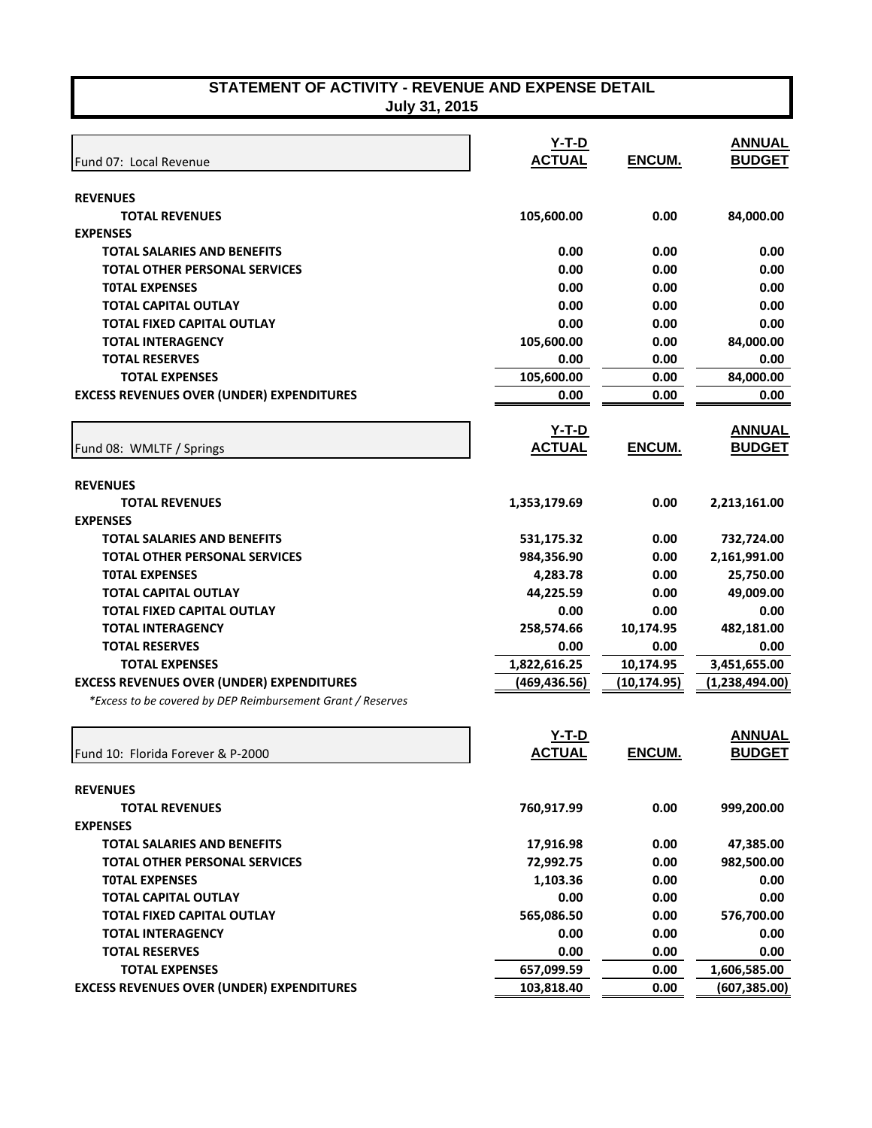**July 31, 2015** 

| Fund 07: Local Revenue                                        | <u>Y-T-D</u><br><b>ACTUAL</b> | ENCUM.        | <b>ANNUAL</b><br><b>BUDGET</b> |
|---------------------------------------------------------------|-------------------------------|---------------|--------------------------------|
|                                                               |                               |               |                                |
| <b>REVENUES</b>                                               |                               |               |                                |
| <b>TOTAL REVENUES</b><br><b>EXPENSES</b>                      | 105,600.00                    | 0.00          | 84,000.00                      |
| <b>TOTAL SALARIES AND BENEFITS</b>                            | 0.00                          | 0.00          | 0.00                           |
| <b>TOTAL OTHER PERSONAL SERVICES</b>                          | 0.00                          | 0.00          | 0.00                           |
| <b>TOTAL EXPENSES</b>                                         | 0.00                          | 0.00          | 0.00                           |
| <b>TOTAL CAPITAL OUTLAY</b>                                   | 0.00                          | 0.00          | 0.00                           |
| <b>TOTAL FIXED CAPITAL OUTLAY</b>                             | 0.00                          | 0.00          | 0.00                           |
| <b>TOTAL INTERAGENCY</b>                                      | 105,600.00                    | 0.00          | 84,000.00                      |
| <b>TOTAL RESERVES</b>                                         | 0.00                          | 0.00          | 0.00                           |
| <b>TOTAL EXPENSES</b>                                         | 105,600.00                    | 0.00          | 84,000.00                      |
| <b>EXCESS REVENUES OVER (UNDER) EXPENDITURES</b>              | 0.00                          | 0.00          | 0.00                           |
| Fund 08: WMLTF / Springs                                      | $Y-T-D$<br><b>ACTUAL</b>      | ENCUM.        | <b>ANNUAL</b><br><b>BUDGET</b> |
|                                                               |                               |               |                                |
| <b>REVENUES</b>                                               |                               |               |                                |
| <b>TOTAL REVENUES</b>                                         | 1,353,179.69                  | 0.00          | 2,213,161.00                   |
| <b>EXPENSES</b>                                               |                               |               |                                |
| <b>TOTAL SALARIES AND BENEFITS</b>                            | 531,175.32                    | 0.00          | 732,724.00                     |
| <b>TOTAL OTHER PERSONAL SERVICES</b><br><b>TOTAL EXPENSES</b> | 984,356.90                    | 0.00<br>0.00  | 2,161,991.00                   |
| <b>TOTAL CAPITAL OUTLAY</b>                                   | 4,283.78<br>44,225.59         | 0.00          | 25,750.00<br>49,009.00         |
| <b>TOTAL FIXED CAPITAL OUTLAY</b>                             | 0.00                          | 0.00          | 0.00                           |
| <b>TOTAL INTERAGENCY</b>                                      | 258,574.66                    | 10,174.95     | 482,181.00                     |
| <b>TOTAL RESERVES</b>                                         | 0.00                          | 0.00          | 0.00                           |
| <b>TOTAL EXPENSES</b>                                         | 1,822,616.25                  | 10,174.95     | 3,451,655.00                   |
| <b>EXCESS REVENUES OVER (UNDER) EXPENDITURES</b>              | (469,436.56)                  | (10, 174.95)  | (1,238,494.00)                 |
| *Excess to be covered by DEP Reimbursement Grant / Reserves   |                               |               |                                |
|                                                               | $Y-T-D$                       |               | <b>ANNUAL</b>                  |
| Fund 10: Florida Forever & P-2000                             | <b>ACTUAL</b>                 | <b>ENCUM.</b> | <b>BUDGET</b>                  |
| <b>REVENUES</b>                                               |                               |               |                                |
| <b>TOTAL REVENUES</b>                                         | 760,917.99                    | 0.00          | 999,200.00                     |
| <b>EXPENSES</b>                                               |                               |               |                                |
| <b>TOTAL SALARIES AND BENEFITS</b>                            | 17,916.98                     | 0.00          | 47,385.00                      |
| <b>TOTAL OTHER PERSONAL SERVICES</b>                          | 72,992.75                     | 0.00          | 982,500.00                     |
| <b>TOTAL EXPENSES</b>                                         | 1,103.36                      | 0.00          | 0.00                           |
| TOTAL CAPITAL OUTLAY                                          | 0.00                          | 0.00          | 0.00                           |
| <b>TOTAL FIXED CAPITAL OUTLAY</b>                             | 565,086.50                    | 0.00          | 576,700.00                     |
| <b>TOTAL INTERAGENCY</b>                                      | 0.00                          | 0.00          | 0.00                           |
| <b>TOTAL RESERVES</b>                                         | 0.00                          | 0.00          | 0.00                           |
| <b>TOTAL EXPENSES</b>                                         | 657,099.59                    | 0.00          | 1,606,585.00                   |
| <b>EXCESS REVENUES OVER (UNDER) EXPENDITURES</b>              | 103,818.40                    | 0.00          | (607,385.00)                   |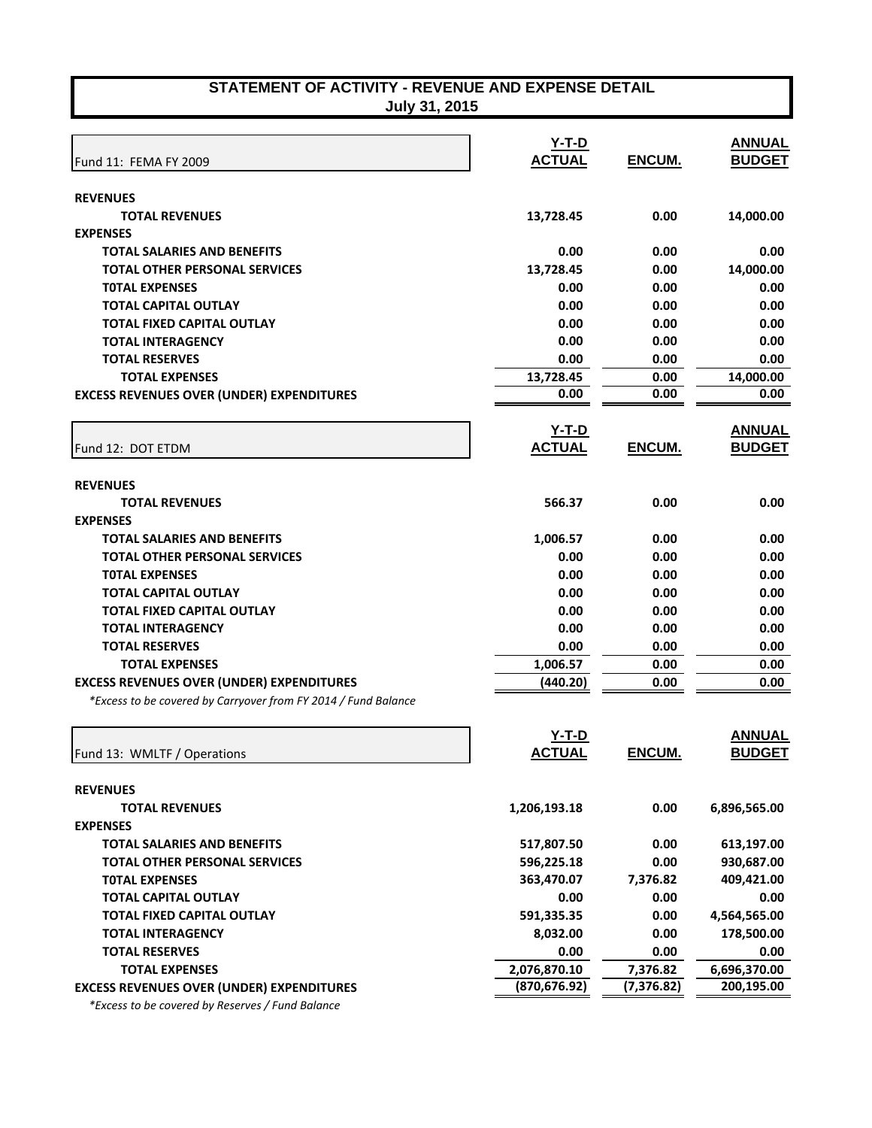| STATEMENT OF ACTIVITY - REVENUE AND EXPENSE DETAIL |  |
|----------------------------------------------------|--|
| Tuly 31 2015                                       |  |

**July 31, 2015** 

|                                                                | <u>Y-T-D</u>  |               | <b>ANNUAL</b> |
|----------------------------------------------------------------|---------------|---------------|---------------|
| Fund 11: FEMA FY 2009                                          | <b>ACTUAL</b> | ENCUM.        | <b>BUDGET</b> |
| <b>REVENUES</b>                                                |               |               |               |
| <b>TOTAL REVENUES</b>                                          | 13,728.45     | 0.00          | 14,000.00     |
| <b>EXPENSES</b>                                                |               |               |               |
| <b>TOTAL SALARIES AND BENEFITS</b>                             | 0.00          | 0.00          | 0.00          |
| <b>TOTAL OTHER PERSONAL SERVICES</b>                           | 13,728.45     | 0.00          | 14,000.00     |
| <b>TOTAL EXPENSES</b>                                          | 0.00          | 0.00          | 0.00          |
| <b>TOTAL CAPITAL OUTLAY</b>                                    | 0.00          | 0.00          | 0.00          |
| <b>TOTAL FIXED CAPITAL OUTLAY</b>                              | 0.00          | 0.00          | 0.00          |
| <b>TOTAL INTERAGENCY</b>                                       | 0.00          | 0.00          | 0.00          |
| <b>TOTAL RESERVES</b>                                          | 0.00          | 0.00          | 0.00          |
| <b>TOTAL EXPENSES</b>                                          | 13,728.45     | 0.00          | 14,000.00     |
| <b>EXCESS REVENUES OVER (UNDER) EXPENDITURES</b>               | 0.00          | 0.00          | 0.00          |
|                                                                | $Y-T-D$       |               | <b>ANNUAL</b> |
| Fund 12: DOT ETDM                                              | <b>ACTUAL</b> | ENCUM.        | <b>BUDGET</b> |
| <b>REVENUES</b>                                                |               |               |               |
| <b>TOTAL REVENUES</b>                                          | 566.37        | 0.00          | 0.00          |
| <b>EXPENSES</b>                                                |               |               |               |
| <b>TOTAL SALARIES AND BENEFITS</b>                             | 1,006.57      | 0.00          | 0.00          |
| <b>TOTAL OTHER PERSONAL SERVICES</b>                           | 0.00          | 0.00          | 0.00          |
| <b>TOTAL EXPENSES</b>                                          | 0.00          | 0.00          | 0.00          |
| <b>TOTAL CAPITAL OUTLAY</b>                                    | 0.00          | 0.00          | 0.00          |
| <b>TOTAL FIXED CAPITAL OUTLAY</b>                              | 0.00          | 0.00          | 0.00          |
| <b>TOTAL INTERAGENCY</b>                                       | 0.00          | 0.00          | 0.00          |
| <b>TOTAL RESERVES</b>                                          | 0.00          | 0.00          | 0.00          |
| <b>TOTAL EXPENSES</b>                                          | 1,006.57      | 0.00          | 0.00          |
| <b>EXCESS REVENUES OVER (UNDER) EXPENDITURES</b>               | (440.20)      | 0.00          | 0.00          |
| *Excess to be covered by Carryover from FY 2014 / Fund Balance |               |               |               |
|                                                                | Y-T-D         |               | <b>ANNUAL</b> |
| Fund 13: WMLTF / Operations                                    | <b>ACTUAL</b> | <b>ENCUM.</b> | <b>BUDGET</b> |
|                                                                |               |               |               |
| <b>REVENUES</b>                                                |               |               |               |
| <b>TOTAL REVENUES</b>                                          | 1,206,193.18  | 0.00          | 6,896,565.00  |
| <b>EXPENSES</b>                                                |               |               |               |
| <b>TOTAL SALARIES AND BENEFITS</b>                             | 517,807.50    | 0.00          | 613,197.00    |
| <b>TOTAL OTHER PERSONAL SERVICES</b>                           | 596,225.18    | 0.00          | 930,687.00    |
| <b>TOTAL EXPENSES</b>                                          | 363,470.07    | 7,376.82      | 409,421.00    |
| <b>TOTAL CAPITAL OUTLAY</b>                                    | 0.00          | 0.00          | 0.00          |
| <b>TOTAL FIXED CAPITAL OUTLAY</b>                              | 591,335.35    | 0.00          | 4,564,565.00  |
| <b>TOTAL INTERAGENCY</b>                                       | 8,032.00      | 0.00          | 178,500.00    |
| <b>TOTAL RESERVES</b>                                          | 0.00          | 0.00          | 0.00          |
| <b>TOTAL EXPENSES</b>                                          | 2,076,870.10  | 7,376.82      | 6,696,370.00  |
| <b>EXCESS REVENUES OVER (UNDER) EXPENDITURES</b>               | (870, 676.92) | (7,376.82)    | 200,195.00    |

 *\*Excess to be covered by Reserves / Fund Balance*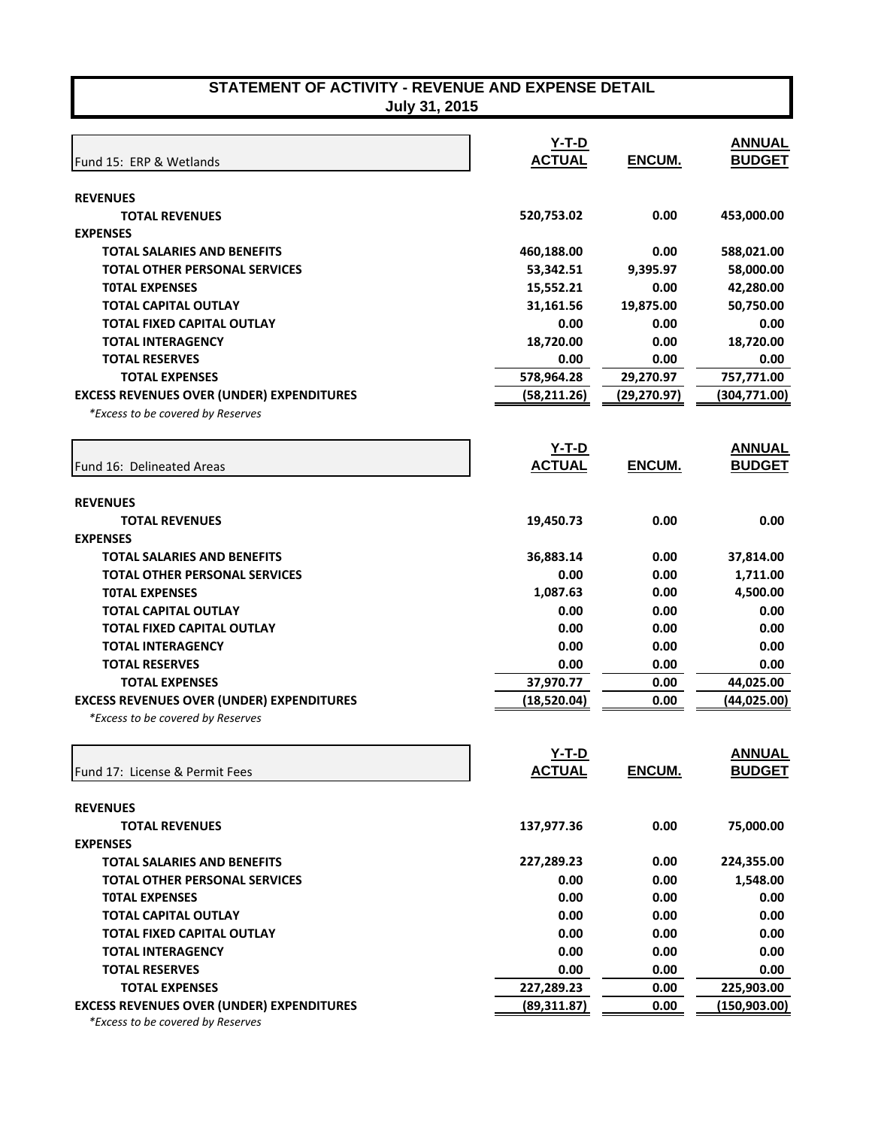|                                                  | $Y-T-D$           |              | <b>ANNUAL</b> |
|--------------------------------------------------|-------------------|--------------|---------------|
| Fund 15: ERP & Wetlands                          | <b>ACTUAL</b>     | ENCUM.       | <b>BUDGET</b> |
|                                                  |                   |              |               |
| <b>REVENUES</b>                                  |                   |              |               |
| <b>TOTAL REVENUES</b>                            | 520,753.02        | 0.00         | 453,000.00    |
| <b>EXPENSES</b>                                  |                   |              |               |
| <b>TOTAL SALARIES AND BENEFITS</b>               | 460,188.00        | 0.00         | 588,021.00    |
| <b>TOTAL OTHER PERSONAL SERVICES</b>             | 53,342.51         | 9,395.97     | 58,000.00     |
| <b>TOTAL EXPENSES</b>                            | 15,552.21         | 0.00         | 42,280.00     |
| <b>TOTAL CAPITAL OUTLAY</b>                      | 31,161.56         | 19,875.00    | 50,750.00     |
| <b>TOTAL FIXED CAPITAL OUTLAY</b>                | 0.00              | 0.00         | 0.00          |
| <b>TOTAL INTERAGENCY</b>                         | 18,720.00         | 0.00         | 18,720.00     |
| <b>TOTAL RESERVES</b>                            | 0.00              | 0.00         | 0.00          |
| <b>TOTAL EXPENSES</b>                            | 578,964.28        | 29,270.97    | 757,771.00    |
| <b>EXCESS REVENUES OVER (UNDER) EXPENDITURES</b> | (58, 211.26)      | (29, 270.97) | (304,771.00)  |
| *Excess to be covered by Reserves                |                   |              |               |
|                                                  | $Y-T-D$           |              | <b>ANNUAL</b> |
| Fund 16: Delineated Areas                        | <b>ACTUAL</b>     | ENCUM.       | <b>BUDGET</b> |
|                                                  |                   |              |               |
| <b>REVENUES</b><br><b>TOTAL REVENUES</b>         | 19,450.73         | 0.00         | 0.00          |
| <b>EXPENSES</b>                                  |                   |              |               |
| <b>TOTAL SALARIES AND BENEFITS</b>               |                   | 0.00         |               |
|                                                  | 36,883.14<br>0.00 | 0.00         | 37,814.00     |
| <b>TOTAL OTHER PERSONAL SERVICES</b>             |                   |              | 1,711.00      |
| <b>TOTAL EXPENSES</b>                            | 1,087.63          | 0.00         | 4,500.00      |
| <b>TOTAL CAPITAL OUTLAY</b>                      | 0.00              | 0.00         | 0.00          |
| <b>TOTAL FIXED CAPITAL OUTLAY</b>                | 0.00              | 0.00         | 0.00          |
| <b>TOTAL INTERAGENCY</b>                         | 0.00              | 0.00         | 0.00          |
| <b>TOTAL RESERVES</b>                            | 0.00              | 0.00         | 0.00          |
| <b>TOTAL EXPENSES</b>                            | 37,970.77         | 0.00         | 44,025.00     |
| <b>EXCESS REVENUES OVER (UNDER) EXPENDITURES</b> | (18,520.04)       | 0.00         | (44,025.00)   |
| *Excess to be covered by Reserves                |                   |              |               |
|                                                  | $Y-T-D$           |              | <b>ANNUAL</b> |
| Fund 17: License & Permit Fees                   | <b>ACTUAL</b>     | ENCUM.       | <b>BUDGET</b> |
|                                                  |                   |              |               |
| <b>REVENUES</b>                                  |                   |              |               |
| <b>TOTAL REVENUES</b>                            | 137,977.36        | 0.00         | 75,000.00     |
| <b>EXPENSES</b>                                  |                   |              |               |
| <b>TOTAL SALARIES AND BENEFITS</b>               | 227,289.23        | 0.00         | 224,355.00    |
| <b>TOTAL OTHER PERSONAL SERVICES</b>             | 0.00              | 0.00         | 1,548.00      |
| <b>TOTAL EXPENSES</b>                            | 0.00              | 0.00         | 0.00          |
| <b>TOTAL CAPITAL OUTLAY</b>                      | 0.00              | 0.00         | 0.00          |
| <b>TOTAL FIXED CAPITAL OUTLAY</b>                | 0.00              | 0.00         | 0.00          |
| <b>TOTAL INTERAGENCY</b>                         | 0.00              | 0.00         | 0.00          |
| <b>TOTAL RESERVES</b>                            | 0.00              | 0.00         | 0.00          |
| <b>TOTAL EXPENSES</b>                            | 227,289.23        | 0.00         | 225,903.00    |
| <b>EXCESS REVENUES OVER (UNDER) EXPENDITURES</b> | (89, 311.87)      | 0.00         | (150, 903.00) |
| *Excess to be covered by Reserves                |                   |              |               |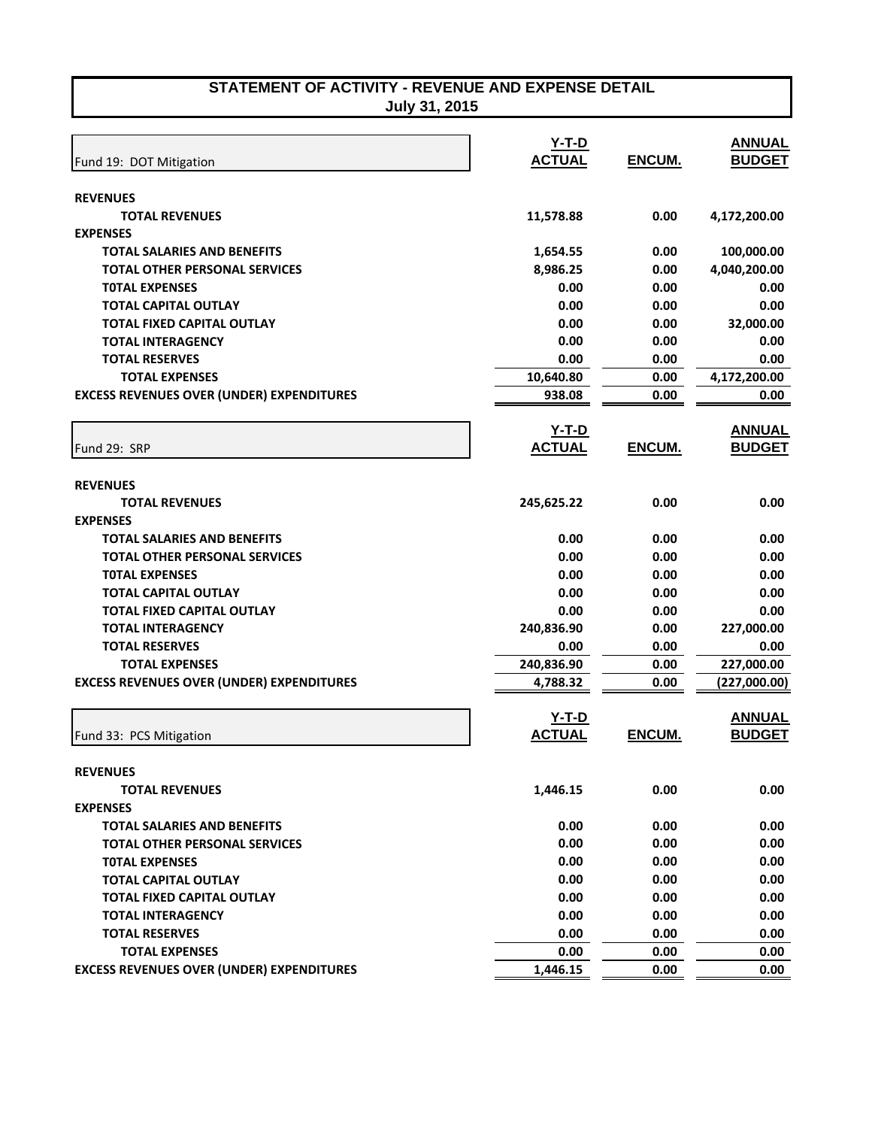| STATEMENT OF ACTIVITY - REVENUE AND EXPENSE DETAIL |
|----------------------------------------------------|
| July 31, 2015                                      |

| Fund 19: DOT Mitigation                          | $Y-T-D$<br><b>ACTUAL</b> | ENCUM. | <b>ANNUAL</b><br><b>BUDGET</b> |
|--------------------------------------------------|--------------------------|--------|--------------------------------|
| <b>REVENUES</b>                                  |                          |        |                                |
| <b>TOTAL REVENUES</b>                            | 11,578.88                | 0.00   | 4,172,200.00                   |
| <b>EXPENSES</b>                                  |                          |        |                                |
| <b>TOTAL SALARIES AND BENEFITS</b>               | 1,654.55                 | 0.00   | 100,000.00                     |
| <b>TOTAL OTHER PERSONAL SERVICES</b>             | 8,986.25                 | 0.00   | 4,040,200.00                   |
| <b>TOTAL EXPENSES</b>                            | 0.00                     | 0.00   | 0.00                           |
| <b>TOTAL CAPITAL OUTLAY</b>                      | 0.00                     | 0.00   | 0.00                           |
| <b>TOTAL FIXED CAPITAL OUTLAY</b>                | 0.00                     | 0.00   | 32,000.00                      |
| <b>TOTAL INTERAGENCY</b>                         | 0.00                     | 0.00   | 0.00                           |
| <b>TOTAL RESERVES</b>                            | 0.00                     | 0.00   | 0.00                           |
| <b>TOTAL EXPENSES</b>                            | 10,640.80                | 0.00   | 4,172,200.00                   |
| <b>EXCESS REVENUES OVER (UNDER) EXPENDITURES</b> | 938.08                   | 0.00   | 0.00                           |
|                                                  |                          |        |                                |
|                                                  | <u>Y-T-D</u>             |        | <b>ANNUAL</b>                  |
| Fund 29: SRP                                     | <b>ACTUAL</b>            | ENCUM. | <b>BUDGET</b>                  |
|                                                  |                          |        |                                |
| <b>REVENUES</b>                                  |                          |        |                                |
| <b>TOTAL REVENUES</b>                            | 245,625.22               | 0.00   | 0.00                           |
| <b>EXPENSES</b>                                  |                          |        |                                |
| <b>TOTAL SALARIES AND BENEFITS</b>               | 0.00                     | 0.00   | 0.00                           |
| <b>TOTAL OTHER PERSONAL SERVICES</b>             | 0.00                     | 0.00   | 0.00                           |
| <b>TOTAL EXPENSES</b>                            | 0.00                     | 0.00   | 0.00                           |
| <b>TOTAL CAPITAL OUTLAY</b>                      | 0.00                     | 0.00   | 0.00                           |
| <b>TOTAL FIXED CAPITAL OUTLAY</b>                | 0.00                     | 0.00   | 0.00                           |
| <b>TOTAL INTERAGENCY</b>                         | 240,836.90               | 0.00   | 227,000.00                     |
| <b>TOTAL RESERVES</b>                            | 0.00                     | 0.00   | 0.00                           |
| <b>TOTAL EXPENSES</b>                            | 240,836.90               | 0.00   | 227,000.00                     |
| <b>EXCESS REVENUES OVER (UNDER) EXPENDITURES</b> | 4,788.32                 | 0.00   | (227,000.00)                   |
|                                                  | Y-T-D                    |        | <b>ANNUAL</b>                  |
|                                                  | <b>ACTUAL</b>            | ENCUM. | <b>BUDGET</b>                  |
| Fund 33: PCS Mitigation                          |                          |        |                                |
| <b>REVENUES</b>                                  |                          |        |                                |
| <b>TOTAL REVENUES</b>                            | 1,446.15                 | 0.00   | 0.00                           |
| <b>EXPENSES</b>                                  |                          |        |                                |
| <b>TOTAL SALARIES AND BENEFITS</b>               | 0.00                     | 0.00   | 0.00                           |
| <b>TOTAL OTHER PERSONAL SERVICES</b>             | 0.00                     | 0.00   | 0.00                           |
| <b>TOTAL EXPENSES</b>                            | 0.00                     | 0.00   | 0.00                           |
| <b>TOTAL CAPITAL OUTLAY</b>                      | 0.00                     | 0.00   | 0.00                           |
| <b>TOTAL FIXED CAPITAL OUTLAY</b>                | 0.00                     | 0.00   | 0.00                           |
| <b>TOTAL INTERAGENCY</b>                         | 0.00                     | 0.00   | 0.00                           |
| <b>TOTAL RESERVES</b>                            | 0.00                     | 0.00   | 0.00                           |
| <b>TOTAL EXPENSES</b>                            | 0.00                     | 0.00   | 0.00                           |
| <b>EXCESS REVENUES OVER (UNDER) EXPENDITURES</b> | 1,446.15                 | 0.00   | 0.00                           |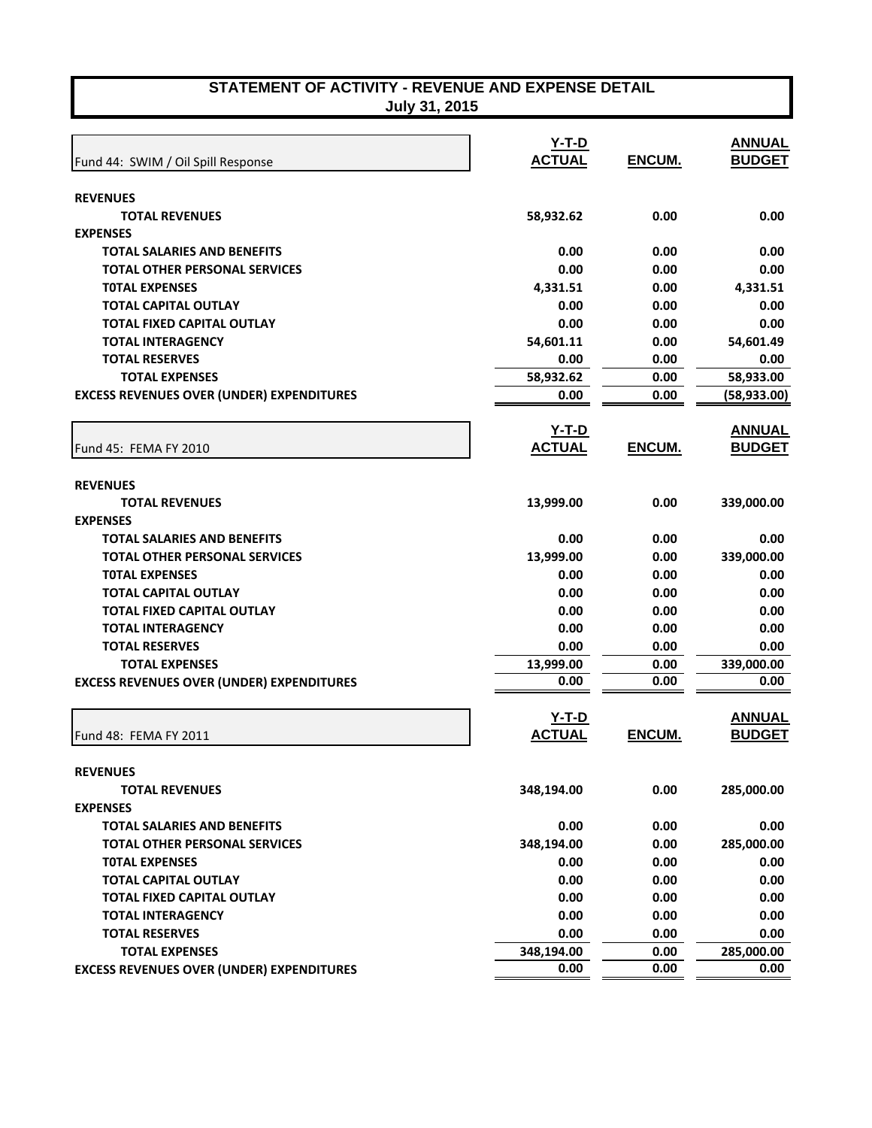| STATEMENT OF ACTIVITY - REVENUE AND EXPENSE DETAIL |                     |  |  |
|----------------------------------------------------|---------------------|--|--|
|                                                    | <b>July 24 2015</b> |  |  |

|  |  |  | July 31, 2015 |  |
|--|--|--|---------------|--|
|--|--|--|---------------|--|

|                                                  | $Y-T-D$       |               | <b>ANNUAL</b> |
|--------------------------------------------------|---------------|---------------|---------------|
| Fund 44: SWIM / Oil Spill Response               | <b>ACTUAL</b> | ENCUM.        | <b>BUDGET</b> |
| <b>REVENUES</b>                                  |               |               |               |
| <b>TOTAL REVENUES</b>                            | 58,932.62     | 0.00          | 0.00          |
| <b>EXPENSES</b>                                  |               |               |               |
| <b>TOTAL SALARIES AND BENEFITS</b>               | 0.00          | 0.00          | 0.00          |
| <b>TOTAL OTHER PERSONAL SERVICES</b>             | 0.00          | 0.00          | 0.00          |
| <b>TOTAL EXPENSES</b>                            | 4,331.51      | 0.00          | 4,331.51      |
| <b>TOTAL CAPITAL OUTLAY</b>                      | 0.00          | 0.00          | 0.00          |
| TOTAL FIXED CAPITAL OUTLAY                       | 0.00          | 0.00          | 0.00          |
| <b>TOTAL INTERAGENCY</b>                         | 54,601.11     | 0.00          | 54,601.49     |
| <b>TOTAL RESERVES</b>                            | 0.00          | 0.00          | 0.00          |
| <b>TOTAL EXPENSES</b>                            | 58,932.62     | 0.00          | 58,933.00     |
| <b>EXCESS REVENUES OVER (UNDER) EXPENDITURES</b> | 0.00          | 0.00          | (58, 933.00)  |
|                                                  |               |               |               |
|                                                  | <u>Y-T-D</u>  |               | <b>ANNUAL</b> |
| Fund 45: FEMA FY 2010                            | <b>ACTUAL</b> | <b>ENCUM.</b> | <b>BUDGET</b> |
| <b>REVENUES</b>                                  |               |               |               |
| <b>TOTAL REVENUES</b>                            | 13,999.00     | 0.00          | 339,000.00    |
| <b>EXPENSES</b>                                  |               |               |               |
| <b>TOTAL SALARIES AND BENEFITS</b>               | 0.00          | 0.00          | 0.00          |
| <b>TOTAL OTHER PERSONAL SERVICES</b>             | 13,999.00     | 0.00          | 339,000.00    |
| <b>TOTAL EXPENSES</b>                            | 0.00          | 0.00          | 0.00          |
| <b>TOTAL CAPITAL OUTLAY</b>                      | 0.00          | 0.00          | 0.00          |
| <b>TOTAL FIXED CAPITAL OUTLAY</b>                | 0.00          | 0.00          | 0.00          |
| <b>TOTAL INTERAGENCY</b>                         | 0.00          | 0.00          | 0.00          |
| <b>TOTAL RESERVES</b>                            | 0.00          | 0.00          | 0.00          |
| <b>TOTAL EXPENSES</b>                            | 13,999.00     | 0.00          | 339,000.00    |
| <b>EXCESS REVENUES OVER (UNDER) EXPENDITURES</b> | 0.00          | 0.00          | 0.00          |
|                                                  |               |               |               |
|                                                  | $Y-T-D$       |               | <b>ANNUAL</b> |
| Fund 48: FEMA FY 2011                            | <b>ACTUAL</b> | ENCUM.        | <b>BUDGET</b> |
| <b>REVENUES</b>                                  |               |               |               |
| <b>TOTAL REVENUES</b>                            | 348,194.00    | 0.00          | 285,000.00    |
| <b>EXPENSES</b>                                  |               |               |               |
| <b>TOTAL SALARIES AND BENEFITS</b>               | 0.00          | 0.00          | 0.00          |
| <b>TOTAL OTHER PERSONAL SERVICES</b>             | 348,194.00    | 0.00          | 285,000.00    |
| <b>TOTAL EXPENSES</b>                            | 0.00          | 0.00          | 0.00          |
| <b>TOTAL CAPITAL OUTLAY</b>                      | 0.00          | 0.00          | 0.00          |
| <b>TOTAL FIXED CAPITAL OUTLAY</b>                | 0.00          | 0.00          | 0.00          |
| <b>TOTAL INTERAGENCY</b>                         | 0.00          | 0.00          | 0.00          |
| <b>TOTAL RESERVES</b>                            | 0.00          | 0.00          | 0.00          |
| <b>TOTAL EXPENSES</b>                            | 348,194.00    | 0.00          | 285,000.00    |
| <b>EXCESS REVENUES OVER (UNDER) EXPENDITURES</b> | 0.00          | 0.00          | 0.00          |
|                                                  |               |               |               |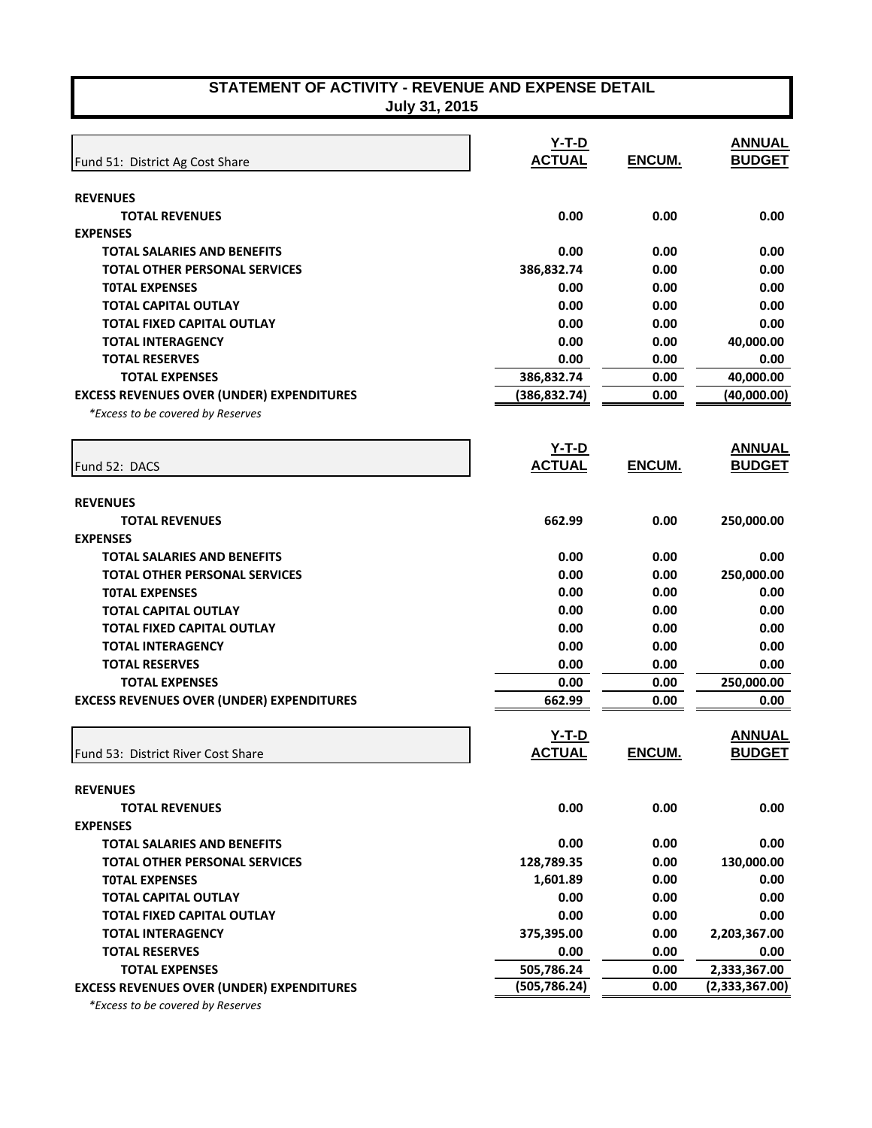| STATEMENT OF ACTIVITY - REVENUE AND EXPENSE DETAIL<br>July 31, 2015 |                          |        |                                |
|---------------------------------------------------------------------|--------------------------|--------|--------------------------------|
|                                                                     |                          |        |                                |
| Fund 51: District Ag Cost Share                                     | $Y-T-D$<br><b>ACTUAL</b> | ENCUM. | <b>ANNUAL</b><br><b>BUDGET</b> |
|                                                                     |                          |        |                                |
| <b>REVENUES</b>                                                     |                          |        |                                |
| <b>TOTAL REVENUES</b>                                               | 0.00                     | 0.00   | 0.00                           |
| <b>EXPENSES</b>                                                     |                          |        |                                |
| <b>TOTAL SALARIES AND BENEFITS</b>                                  | 0.00                     | 0.00   | 0.00                           |
| <b>TOTAL OTHER PERSONAL SERVICES</b>                                | 386,832.74               | 0.00   | 0.00                           |
| <b>TOTAL EXPENSES</b>                                               | 0.00                     | 0.00   | 0.00                           |
| <b>TOTAL CAPITAL OUTLAY</b>                                         | 0.00                     | 0.00   | 0.00                           |
| <b>TOTAL FIXED CAPITAL OUTLAY</b>                                   | 0.00                     | 0.00   | 0.00                           |
| <b>TOTAL INTERAGENCY</b>                                            | 0.00                     | 0.00   | 40,000.00                      |
| <b>TOTAL RESERVES</b>                                               | 0.00                     | 0.00   | 0.00                           |
| <b>TOTAL EXPENSES</b>                                               | 386,832.74               | 0.00   | 40,000.00                      |
| <b>EXCESS REVENUES OVER (UNDER) EXPENDITURES</b>                    | (386, 832.74)            | 0.00   | (40,000.00)                    |
| *Excess to be covered by Reserves                                   |                          |        |                                |
|                                                                     | $Y-T-D$                  |        | <b>ANNUAL</b>                  |
| Fund 52: DACS                                                       | <b>ACTUAL</b>            | ENCUM. | <b>BUDGET</b>                  |
|                                                                     |                          |        |                                |
| <b>REVENUES</b>                                                     |                          |        |                                |
| <b>TOTAL REVENUES</b>                                               | 662.99                   | 0.00   | 250,000.00                     |
| <b>EXPENSES</b>                                                     |                          |        |                                |
| <b>TOTAL SALARIES AND BENEFITS</b>                                  | 0.00                     | 0.00   | 0.00                           |
| <b>TOTAL OTHER PERSONAL SERVICES</b>                                | 0.00                     | 0.00   | 250,000.00                     |
| <b>TOTAL EXPENSES</b>                                               | 0.00                     | 0.00   | 0.00                           |
| <b>TOTAL CAPITAL OUTLAY</b>                                         | 0.00                     | 0.00   | 0.00                           |
| TOTAL FIXED CAPITAL OUTLAY                                          | 0.00                     | 0.00   | 0.00                           |
| <b>TOTAL INTERAGENCY</b>                                            | 0.00                     | 0.00   | 0.00                           |
| <b>TOTAL RESERVES</b>                                               | 0.00                     | 0.00   | 0.00                           |
| <b>TOTAL EXPENSES</b>                                               | 0.00                     | 0.00   | 250,000.00                     |
| <b>EXCESS REVENUES OVER (UNDER) EXPENDITURES</b>                    | 662.99                   | 0.00   | 0.00                           |
|                                                                     | <b>Y-T-D</b>             |        | <b>ANNUAL</b>                  |
| Fund 53: District River Cost Share                                  | <b>ACTUAL</b>            | ENCUM. | <b>BUDGET</b>                  |
|                                                                     |                          |        |                                |
| <b>REVENUES</b>                                                     |                          |        |                                |
| <b>TOTAL REVENUES</b>                                               | 0.00                     | 0.00   | 0.00                           |
| <b>EXPENSES</b>                                                     |                          |        |                                |
| <b>TOTAL SALARIES AND BENEFITS</b>                                  | 0.00                     | 0.00   | 0.00                           |
| <b>TOTAL OTHER PERSONAL SERVICES</b>                                | 128,789.35               | 0.00   | 130,000.00                     |
| <b>TOTAL EXPENSES</b>                                               | 1,601.89                 | 0.00   | 0.00                           |
| <b>TOTAL CAPITAL OUTLAY</b>                                         | 0.00                     | 0.00   | 0.00                           |
| <b>TOTAL FIXED CAPITAL OUTLAY</b>                                   | 0.00                     | 0.00   | 0.00                           |
| <b>TOTAL INTERAGENCY</b>                                            | 375,395.00               | 0.00   | 2,203,367.00                   |
| <b>TOTAL RESERVES</b>                                               | 0.00                     | 0.00   | 0.00                           |
| <b>TOTAL EXPENSES</b>                                               | 505,786.24               | 0.00   | 2,333,367.00                   |
| <b>EXCESS REVENUES OVER (UNDER) EXPENDITURES</b>                    | (505, 786.24)            | 0.00   | (2,333,367.00)                 |

 *\*Excess to be covered by Reserves*